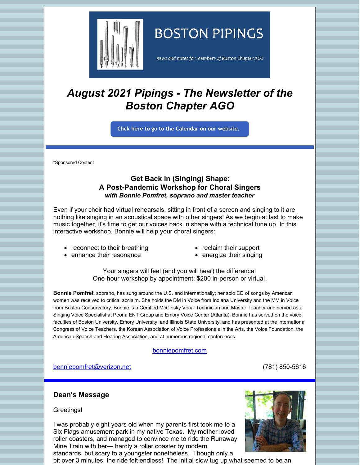

# **BOSTON PIPINGS**

news and notes for members of Boston Chapter AGO

# *August 2021 Pipings - The Newsletter of the Boston Chapter AGO*

**Click here to go to the [Calendar](http://www.bostonago.org/calendar-2/) on our website.**

\*Sponsored Content

# **Get Back in (Singing) Shape: A Post-Pandemic Workshop for Choral Singers** *with Bonnie Pomfret, soprano and master teacher*

Even if your choir had virtual rehearsals, sitting in front of a screen and singing to it are nothing like singing in an acoustical space with other singers! As we begin at last to make music together, it's time to get our voices back in shape with a technical tune up. In this interactive workshop, Bonnie will help your choral singers:

- reconnect to their breathing
- reclaim their support
- enhance their resonance • energize their singing
	- Your singers will feel (and you will hear) the difference! One-hour workshop by appointment: \$200 in-person or virtual.

**Bonnie Pomfret**, soprano, has sung around the U.S. and internationally; her solo CD of songs by American women was received to critical acclaim. She holds the DM in Voice from Indiana University and the MM in Voice from Boston Conservatory. Bonnie is a Certified McClosky Vocal Technician and Master Teacher and served as a Singing Voice Specialist at Peoria ENT Group and Emory Voice Center (Atlanta). Bonnie has served on the voice faculties of Boston University, Emory University, and Illinois State University, and has presented at the international Congress of Voice Teachers, the Korean Association of Voice Professionals in the Arts, the Voice Foundation, the American Speech and Hearing Association, and at numerous regional conferences.

#### [bonniepomfret.com](http://www.bonniepomfret.com/)

[bonniepomfret@verizon.net](mailto:bonniepomfret@verizon.net) (781) 850-5616

# **Dean's Message**

Greetings!

I was probably eight years old when my parents first took me to a Six Flags amusement park in my native Texas. My mother loved roller coasters, and managed to convince me to ride the Runaway Mine Train with her— hardly a roller coaster by modern standards, but scary to a youngster nonetheless. Though only a



bit over 3 minutes, the ride felt endless! The initial slow tug up what seemed to be an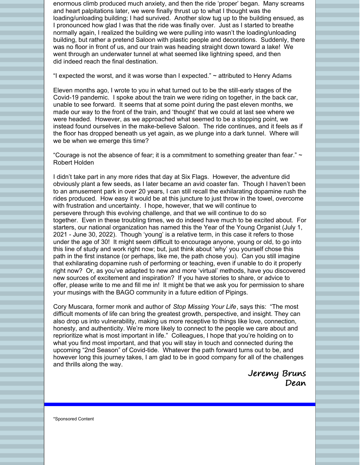enormous climb produced much anxiety, and then the ride 'proper' began. Many screams and heart palpitations later, we were finally thrust up to what I thought was the loading/unloading building; I had survived. Another slow tug up to the building ensued, as I pronounced how glad I was that the ride was finally over. Just as I started to breathe normally again, I realized the building we were pulling into wasn't the loading/unloading building, but rather a pretend Saloon with plastic people and decorations. Suddenly, there was no floor in front of us, and our train was heading straight down toward a lake! We went through an underwater tunnel at what seemed like lightning speed, and then did indeed reach the final destination.

"I expected the worst, and it was worse than I expected."  $\sim$  attributed to Henry Adams

Eleven months ago, I wrote to you in what turned out to be the still-early stages of the Covid-19 pandemic. I spoke about the train we were riding on together, in the back car, unable to see forward. It seems that at some point during the past eleven months, we made our way to the front of the train, and 'thought' that we could at last see where we were headed. However, as we approached what seemed to be a stopping point, we instead found ourselves in the make-believe Saloon. The ride continues, and it feels as if the floor has dropped beneath us yet again, as we plunge into a dark tunnel. Where will we be when we emerge this time?

"Courage is not the absence of fear; it is a commitment to something greater than fear."  $\sim$ Robert Holden

I didn't take part in any more rides that day at Six Flags. However, the adventure did obviously plant a few seeds, as I later became an avid coaster fan. Though I haven't been to an amusement park in over 20 years, I can still recall the exhilarating dopamine rush the rides produced. How easy it would be at this juncture to just throw in the towel, overcome with frustration and uncertainty. I hope, however, that we will continue to persevere through this evolving challenge, and that we will continue to do so together. Even in these troubling times, we do indeed have much to be excited about. For starters, our national organization has named this the Year of the Young Organist (July 1, 2021 - June 30, 2022). Though 'young' is a relative term, in this case it refers to those under the age of 30! It might seem difficult to encourage anyone, young or old, to go into this line of study and work right now; but, just think about 'why' you yourself chose this path in the first instance (or perhaps, like me, the path chose you). Can you still imagine that exhilarating dopamine rush of performing or teaching, even if unable to do it properly right now? Or, as you've adapted to new and more 'virtual' methods, have you discovered new sources of excitement and inspiration? If you have stories to share, or advice to offer, please write to me and fill me in! It might be that we ask you for permission to share your musings with the BAGO community in a future edition of Pipings.

Cory Muscara, former monk and author of *Stop Missing Your Life*, says this: "The most difficult moments of life can bring the greatest growth, perspective, and insight. They can also drop us into vulnerability, making us more receptive to things like love, connection, honesty, and authenticity. We're more likely to connect to the people we care about and reprioritize what is most important in life." Colleagues, I hope that you're holding on to what you find most important, and that you will stay in touch and connected during the upcoming "2nd Season" of Covid-tide. Whatever the path forward turns out to be, and however long this journey takes, I am glad to be in good company for all of the challenges and thrills along the way.

> Jeremy Bruns Dean

\*Sponsored Content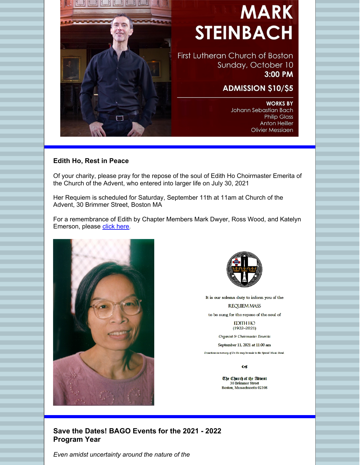

# **MARK STEINBACH**

First Lutheran Church of Boston Sunday, October 10 3:00 PM

# **ADMISSION \$10/\$5**

**WORKS BY** Johann Sebastian Bach **Philip Glass Anton Heiller Olivier Messiaen** 

### **Edith Ho, Rest in Peace**

Of your charity, please pray for the repose of the soul of Edith Ho Choirmaster Emerita of the Church of the Advent, who entered into larger life on July 30, 2021

Her Requiem is scheduled for Saturday, September 11th at 11am at Church of the Advent, 30 Brimmer Street, Boston MA

For a remembrance of Edith by Chapter Members Mark Dwyer, Ross Wood, and Katelyn Emerson, please [click](https://files.constantcontact.com/8b145067101/da533b5e-5a31-447b-aafa-3c9d04d91781.pdf) here.





It is our solemn duty to inform you of the

**REQUIEM MASS** 

to be sung for the repose of the soul of

**EDITH HO**  $(1932 - 2021)$ 

Organist & Choirmaster Emerita

September 11, 2021 at 11:00 am

Donations in memory of Dr Ho may be made to the Special Music Fund.

 $\overline{\mathbf{c}}$ 

The Church of the Advent **30 Brimmer Street** Boston, Massachusetts 02108

**Save the Dates! BAGO Events for the 2021 - 2022 Program Year**

*Even amidst uncertainty around the nature of the*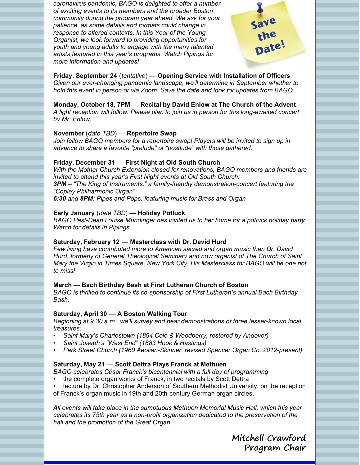*coronavirus pandemic, BAGO is delighted to offer a number of exciting events to its members and the broader Boston community during the program year ahead. We ask for your patience, as some details and formats could change in response to altered contexts. In this Year of the Young Organist, we look forward to providing opportunities for youth and young adults to engage with the many talented artists featured in this year's programs. Watch Pipings for more information and updates!*



**Friday, September 24** (*tentative*) — **Opening Service with Installation of Officers** *Given our ever-changing pandemic landscape, we'll determine in September whether to hold this event in person or via Zoom. Save the date and look for updates from BAGO.*

#### **Monday, October 18, 7PM** — **Recital by David Enlow at The Church of the Advent**

*A light reception will follow. Please plan to join us in person for this long-awaited concert by Mr. Enlow.*

#### **November** (*date TBD*) — **Repertoire Swap**

*Join fellow BAGO members for a repertoire swap! Players will be invited to sign up in advance to share a favorite "prelude" or "postlude" with those gathered.*

#### **Friday, December 31** — **First Night at Old South Church**

*With the Mother Church Extension closed for renovations, BAGO members and friends are invited to attend this year's First Night events at Old South Church: 3PM – "The King of Instruments," a family-friendly demonstration-concert featuring the "Copley Philharmonic Organ" 6:30 and 8PM: Pipes and Pops, featuring music for Brass and Organ*

#### **Early January** (*date TBD*) — **Holiday Potluck**

*BAGO Past-Dean Louise Mundinger has invited us to her home for a potluck holiday party. Watch for details in Pipings.*

#### **Saturday, February 12** — **Masterclass with Dr. David Hurd**

*Few living have contributed more to American sacred and organ music than Dr. David Hurd, formerly of General Theological Seminary and now organist of The Church of Saint Mary the Virgin in Times Square, New York City. His Masterclass for BAGO will be one not to miss!*

#### **March** — **Bach Birthday Bash at First Lutheran Church of Boston**

*BAGO is thrilled to continue its co-sponsorship of First Lutheran's annual Bach Birthday Bash.*

#### **Saturday, April 30** — **A Boston Walking Tour**

*Beginning at 9:30 a.m., we'll survey and hear demonstrations of three lesser-known local treasures:*

- *Saint Mary's Charlestown (1894 Cole & Woodberry, restored by Andover)*
- *Saint Joseph's "West End" (1883 Hook & Hastings)*
- *Park Street Church (1960 Aeolian-Skinner, revised Spencer Organ Co. 2012-present)*

# **Saturday, May 21** — **Scott Dettra Plays Franck at Methuen**

*BAGO celebrates César Franck's bicentennial with a full day of programming*

- the complete organ works of Franck, in two recitals by Scott Dettra
- lecture by Dr. Christopher Anderson of Southern Methodist University, on the reception of Franck's organ music in 19th and 20th-century German organ circles.

*All events will take place in the sumptuous Methuen Memorial Music Hall, which this year celebrates its 75th year as a non-profit organization dedicated to the preservation of the hall and the promotion of the Great Organ.*

> Mitchell Crawford Program Chair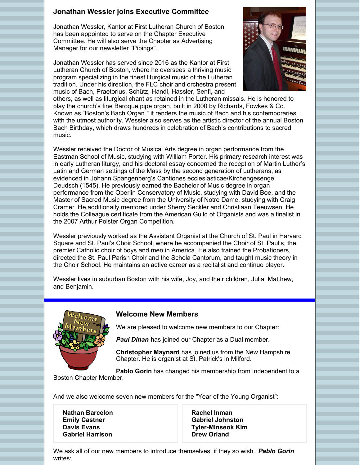# **Jonathan Wessler joins Executive Committee**

Jonathan Wessler, Kantor at First Lutheran Church of Boston, has been appointed to serve on the Chapter Executive Committee. He will also serve the Chapter as Advertising Manager for our newsletter "Pipings".

Jonathan Wessler has served since 2016 as the Kantor at First Lutheran Church of Boston, where he oversees a thriving music program specializing in the finest liturgical music of the Lutheran tradition. Under his direction, the FLC [choir](http://www.flc-boston.org/flc-choir) and orchestra present music of Bach, Praetorius, Schütz, Handl, Hassler, Senfl, and



others, as well as liturgical chant as retained in the Lutheran missals. He is honored to play the church's fine Baroque pipe organ, built in 2000 by Richards, Fowkes & Co. Known as ["Boston's](http://www.flc-boston.org/flc-pipe-organ) Bach Organ," it renders the music of Bach and his contemporaries with the utmost authority. Wessler also serves as the artistic director of the annual Boston Bach Birthday, which draws hundreds in celebration of Bach's [contributions](http://www.flc-boston.org/bach) to sacred music.

Wessler received the Doctor of Musical Arts degree in organ performance from the Eastman School of Music, studying with William Porter. His primary research interest was in early Lutheran liturgy, and his doctoral essay concerned the reception of Martin Luther's Latin and German settings of the Mass by the second generation of Lutherans, as evidenced in Johann Spangenberg's Cantiones ecclesiasticae/Kirchengesenge Deudsch (1545). He previously earned the Bachelor of Music degree in organ performance from the Oberlin Conservatory of Music, studying with David Boe, and the Master of Sacred Music degree from the University of Notre Dame, studying with Craig Cramer. He additionally mentored under Sherry Seckler and Christiaan Teeuwsen. He holds the Colleague certificate from the American Guild of Organists and was a finalist in the 2007 Arthur Poister Organ Competition.

Wessler previously worked as the Assistant Organist at the Church of St. Paul in Harvard Square and St. Paul's Choir School, where he accompanied the Choir of St. Paul's, the premier Catholic choir of boys and men in America. He also trained the Probationers, directed the St. Paul Parish Choir and the Schola Cantorum, and taught music theory in the Choir School. He maintains an active career as a recitalist and continuo player.

Wessler lives in suburban Boston with his wife, Joy, and their children, Julia, Matthew, and Benjamin.



### **Welcome New Members**

We are pleased to welcome new members to our Chapter:

*Paul Dinan* has joined our Chapter as a Dual member.

**Christopher Maynard** has joined us from the New Hampshire Chapter. He is organist at St. Patrick's in Milford.

**Pablo Gorin** has changed his membership from Independent to a

Boston Chapter Member.

And we also welcome seven new members for the "Year of the Young Organist":

| <b>Nathan Barcelon</b>  |
|-------------------------|
| <b>Emily Castner</b>    |
| <b>Davis Evans</b>      |
| <b>Gabriel Harrison</b> |

**Rachel Inman Gabriel Johnston Tyler-Minseok Kim Drew Orland**

We ask all of our new members to introduce themselves, if they so wish. *Pablo Gorin* writes: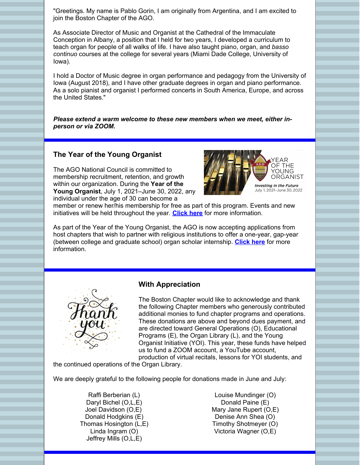"Greetings. My name is Pablo Gorin, I am originally from Argentina, and I am excited to join the Boston Chapter of the AGO.

As Associate Director of Music and Organist at the Cathedral of the Immaculate Conception in Albany, a position that I held for two years, I developed a curriculum to teach organ for people of all walks of life. I have also taught piano, organ, and *basso continuo* courses at the college for several years (Miami Dade College, University of Iowa).

I hold a Doctor of Music degree in organ performance and pedagogy from the University of Iowa (August 2018), and I have other graduate degrees in organ and piano performance. As a solo pianist and organist I performed concerts in South America, Europe, and across the United States."

*Please extend a warm welcome to these new members when we meet, either inperson or via ZOOM.*

#### **The Year of the Young Organist**

The AGO National Council is committed to membership recruitment, retention, and growth within our organization. During the **Year of the Young Organist**, July 1, 2021–June 30, 2022, any individual under the age of 30 can become a



member or renew her/his membership for free as part of this program. Events and new initiatives will be held throughout the year. **[Click](https://www.yearoftheyoungorganist.com/) here** for more information.

As part of the Year of the Young Organist, the AGO is now accepting applications from host chapters that wish to partner with religious institutions to offer a one-year, gap-year (between college and graduate school) organ scholar internship. **[Click](https://www.agohq.org/organ-scholar-program/) here** for more information.



#### **With Appreciation**

The Boston Chapter would like to acknowledge and thank the following Chapter members who generously contributed additional monies to fund chapter programs and operations. These donations are above and beyond dues payment, and are directed toward General Operations (O), Educational Programs (E), the Organ Library (L), and the Young Organist Initiative (YOI). This year, these funds have helped us to fund a ZOOM account, a YouTube account, production of virtual recitals, lessons for YOI students, and

the continued operations of the Organ Library.

We are deeply grateful to the following people for donations made in June and July:

Raffi Berberian (L) Daryl Bichel (O,L,E) Joel Davidson (O,E) Donald Hodgkins (E) Thomas Hosington (L,E) Linda Ingram (O) Jeffrey Mills (O,L,E)

Louise Mundinger (O) Donald Paine (E) Mary Jane Rupert (O,E) Denise Ann Shea (O) Timothy Shotmeyer (O) Victoria Wagner (O,E)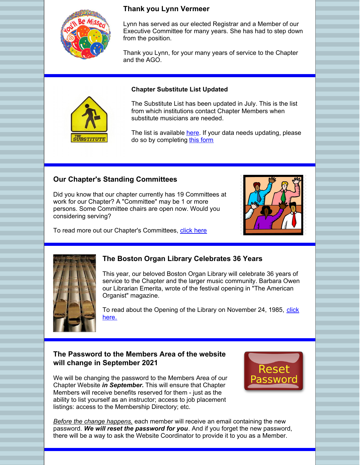

# **Thank you Lynn Vermeer**

Lynn has served as our elected Registrar and a Member of our Executive Committee for many years. She has had to step down from the position.

Thank you Lynn, for your many years of service to the Chapter and the AGO.

#### **Chapter Substitute List Updated**



The list is available [here](https://www.bostonago.org/chapter/substitute-list/). If your data needs updating, please do so by completing this [form](https://www.bostonago.org/members/substitute-sign-up/)

# **Our Chapter's Standing Committees**

Did you know that our chapter currently has 19 Committees at work for our Chapter? A "Committee" may be 1 or more persons. Some Committee chairs are open now. Would you considering serving?



To read more out our Chapter's Committees, [click](https://www.bostonago.org/committees/) here



# **The Boston Organ Library Celebrates 36 Years**

This year, our beloved Boston Organ Library will celebrate 36 years of service to the Chapter and the larger music community. Barbara Owen our Librarian Emerita, wrote of the festival opening in "The American Organist" magazine.

To read about the Opening of the Library on [November](https://files.constantcontact.com/8b145067101/510fc2f5-f433-499d-88e8-e34a821b62b4.pdf) 24, 1985, click here.

# **The Password to the Members Area of the website will change in September 2021**

We will be changing the password to the Members Area of our Chapter Website *in September.* This will ensure that Chapter Members will receive benefits reserved for them - just as the ability to list yourself as an instructor; access to job placement listings: access to the Membership Directory; etc.



*Before the change happens,* each member will receive an email containing the new password. *We will reset the password for you*. And if you forget the new password, there will be a way to ask the Website Coordinator to provide it to you as a Member.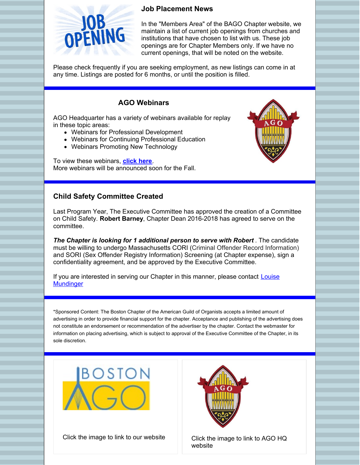# **Job Placement News**



In the "Members Area" of the BAGO Chapter website, we maintain a list of current job openings from churches and institutions that have chosen to list with us. These job openings are for Chapter Members only. If we have no current openings, that will be noted on the website.

Please check frequently if you are seeking employment, as new listings can come in at any time. Listings are posted for 6 months, or until the position is filled.

# **AGO Webinars**

AGO Headquarter has a variety of webinars available for replay in these topic areas:

- Webinars for Professional Development
- Webinars for Continuing Professional Education
- Webinars Promoting New Technology

To view these webinars, **[click](https://www.agohq.org/webinars-and-supporting-documents/) here**. More webinars will be announced soon for the Fall.



# **Child Safety Committee Created**

Last Program Year, The Executive Committee has approved the creation of a Committee on Child Safety. **Robert Barney**, Chapter Dean 2016-2018 has agreed to serve on the committee.

*The Chapter is looking for 1 additional person to serve with Robert* . The candidate must be willing to undergo Massachusetts CORI (Criminal Offender Record Information) and SORI (Sex Offender Registry Information) Screening (at Chapter expense), sign a confidentiality agreement, and be approved by the Executive Committee.

If you are interested in serving our Chapter in this manner, please contact **Louise [Mundinger](mailto:louise.mundinger@gmail.com)** 

\*Sponsored Content: The Boston Chapter of the American Guild of Organists accepts a limited amount of advertising in order to provide financial support for the chapter. Acceptance and publishing of the advertising does not constitute an endorsement or recommendation of the advertiser by the chapter. Contact the webmaster for information on placing advertising, which is subject to approval of the Executive Committee of the Chapter, in its sole discretion.



Click the image to link to our website  $\Box$  Click the image to link to AGO HQ



website